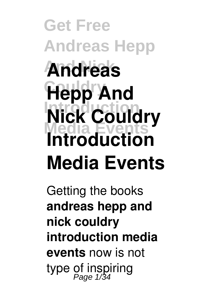# **Get Free Andreas Hepp And Nick Andreas Hepp And Nick Couldry Media Events Introduction Media Events**

Getting the books **andreas hepp and nick couldry introduction media events** now is not type of inspiring Page 1/34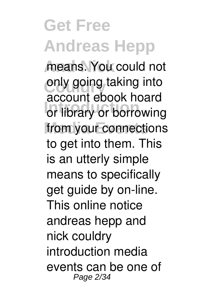means. You could not only going taking into **Introduction** or library or borrowing from your connections account ebook hoard to get into them. This is an utterly simple means to specifically get guide by on-line. This online notice andreas hepp and nick couldry introduction media events can be one of Page 2/34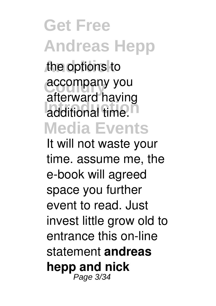**Get Free Andreas Hepp And Nick** the options to accompany you additional time.<sup>n</sup> **Media Events** afterward having

It will not waste your time. assume me, the e-book will agreed space you further event to read. Just invest little grow old to entrance this on-line statement **andreas hepp and nick** Page 3/34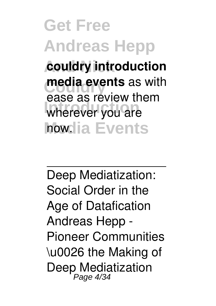**Get Free Andreas Hepp And Nick couldry introduction media events** as with wherever you are **how.lia Events** ease as review them

Deep Mediatization: Social Order in the Age of Datafication Andreas Hepp - Pioneer Communities \u0026 the Making of Deep Mediatization Page 4/34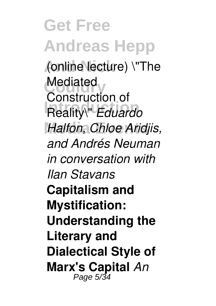**Get Free Andreas Hepp And Nick** (online lecture) \"The Mediated<br>Construction **Introduction** Reality\" *Eduardo* **Media Events** *Halfon, Chloe Aridjis,* Construction of *and Andrés Neuman in conversation with Ilan Stavans* **Capitalism and Mystification: Understanding the Literary and Dialectical Style of Marx's Capital** *An* Page 5/34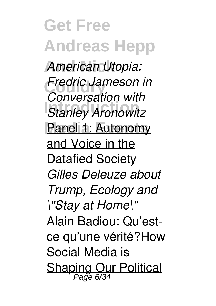**Get Free Andreas Hepp** American Utopia: **Fredric Jameson in**<br>Conversation with **International Property** Panel 1: Autonomy *Conversation with* and Voice in the **Datafied Society** *Gilles Deleuze about Trump, Ecology and \"Stay at Home\"* Alain Badiou: Qu'estce qu'une vérité?How Social Media is Shaping Our Political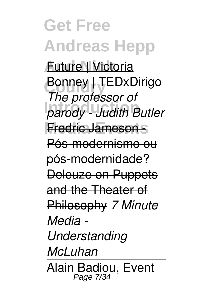**Get Free Andreas Hepp And Nick** Future | Victoria **Bonney | TEDxDirigo Introduction** *parody - Judith Butler* **Media Events** Fredric Jameson - *The professor of* Pós-modernismo ou pós-modernidade? Deleuze on Puppets and the Theater of Philosophy *7 Minute Media - Understanding McLuhan* Alain Badiou, Event Page 7/34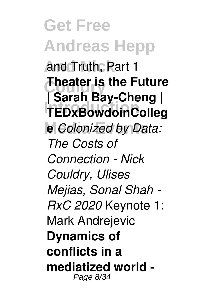**Get Free Andreas Hepp And Nick** and Truth, Part 1 **Theater is the Future Introduction TEDxBowdoinColleg Media Events e** *Colonized by Data:* **| Sarah Bay-Cheng |**  *The Costs of Connection - Nick Couldry, Ulises Mejias, Sonal Shah - RxC 2020* Keynote 1: Mark Andrejevic **Dynamics of conflicts in a mediatized world -** Page 8/34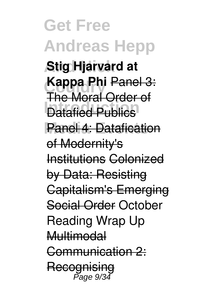**Get Free Andreas Hepp And Nick Stig Hjarvard at Kappa Phi** Panel 3: **International Publics** Panel 4: Datafication The Moral Order of of Modernity's Institutions Colonized by Data: Resisting Capitalism's Emerging Social Order October Reading Wrap Up Multimodal Communication 2: Recognising Page 9/34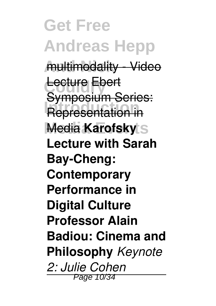**Get Free Andreas Hepp** multimodality - Video Lecture Ebert *<u>Representation</u>* in **Media Karofsky** Symposium Series: **Lecture with Sarah Bay-Cheng: Contemporary Performance in Digital Culture Professor Alain Badiou: Cinema and Philosophy** *Keynote 2: Julie Cohen* Page 10/34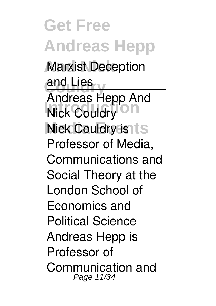**Get Free Andreas Hepp Marxist Deception** and Lies<br> **Andrea Nick Couldry Nick Couldry is ts** Andreas Hepp And Professor of Media, Communications and Social Theory at the London School of Economics and Political Science Andreas Hepp is Professor of Communication and Page 11/34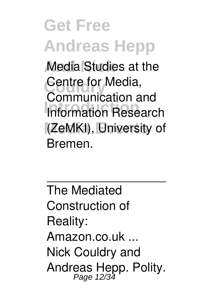**Media Studies at the** Centre for Media, **Introduction** Information Research **Media Events** (ZeMKI), University of Communication and Bremen.

The Mediated Construction of Reality: Amazon.co.uk ... Nick Couldry and Andreas Hepp. Polity.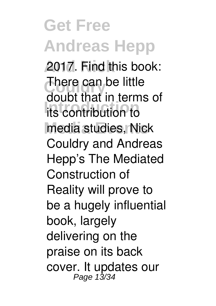**And Nick** 2017. Find this book: **There can be little Introduction** its contribution to media studies, Nick doubt that in terms of Couldry and Andreas Hepp's The Mediated Construction of Reality will prove to be a hugely influential book, largely delivering on the praise on its back cover. It updates our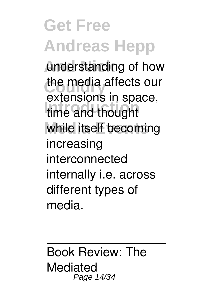**And Nick** understanding of how the media affects our **Introduction** time and thought while itself becoming extensions in space, increasing interconnected internally i.e. across different types of media.

Book Review: The Mediated Page 14/34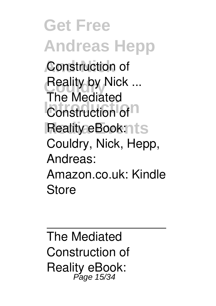**Get Free Andreas Hepp Construction of Reality by Nick ...**<br>The Mediated **Construction** of **D** Reality eBook:nts The Mediated Couldry, Nick, Hepp, Andreas: Amazon.co.uk: Kindle Store

The Mediated Construction of Reality eBook: Page 15/34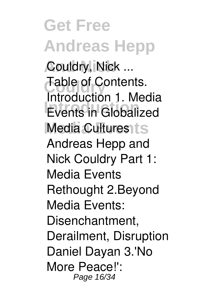**Get Free Andreas Hepp And Nick** Couldry, Nick ... **Table of Contents. Introduction**<br>
Events in Globalized Media Cultures ts Introduction 1. Media Andreas Hepp and Nick Couldry Part 1: Media Events Rethought 2.Beyond Media Events: Disenchantment, Derailment, Disruption Daniel Dayan 3.'No More Peace!': Page 16/34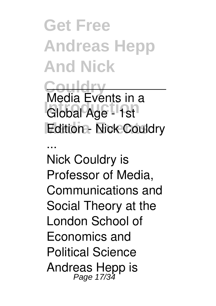**Get Free Andreas Hepp And Nick**

**Couldry Introduction** Global Age - 1st **Edition - Nick Couldry** Media Events in a

... Nick Couldry is Professor of Media, Communications and Social Theory at the London School of Economics and Political Science Andreas Hepp is Page 17/34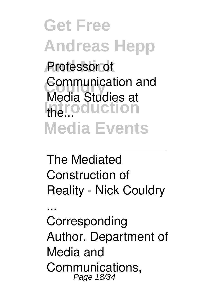**Get Free Andreas Hepp And Nick** Professor of **Communication and Introduction Media Events** Media Studies at

The Mediated Construction of Reality - Nick Couldry

... Corresponding Author. Department of Media and Communications, Page 18/34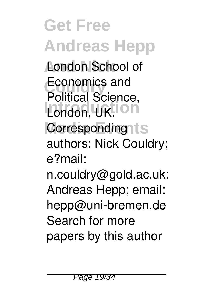**Get Free Andreas Hepp London School of Economics and** London, UK.<sup>1011</sup> Corresponding1ts Political Science, authors: Nick Couldry; e?mail: n.couldry@gold.ac.uk: Andreas Hepp; email: hepp@uni-bremen.de Search for more papers by this author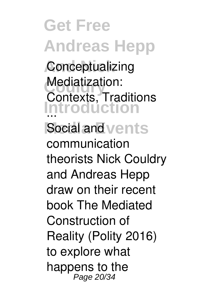**Get Free Andreas Hepp Conceptualizing Mediatization:**<br>Contexts Tree **Introduction** ... Social and vents Contexts, Traditions communication theorists Nick Couldry and Andreas Hepp draw on their recent book The Mediated Construction of Reality (Polity 2016) to explore what happens to the Page 20/34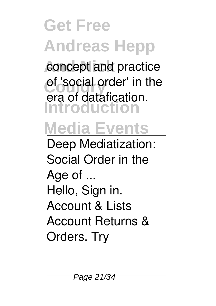concept and practice of 'social order' in the **Introduction** era of datafication.

#### **Media Events**

Deep Mediatization: Social Order in the Age of ... Hello, Sign in. Account & Lists Account Returns & Orders. Try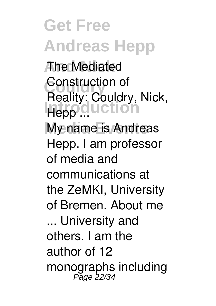**And Nick** The Mediated **Construction of**<br> **Reality:** Couldm **Interpretation My name is Andreas** Reality: Couldry, Nick, Hepp. I am professor of media and communications at the ZeMKI, University of Bremen. About me ... University and others. I am the author of 12 monographs including Page 22/34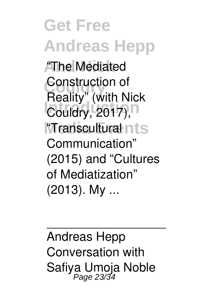**Get Free Andreas Hepp AThe Mediated Construction of**<br> **Deality** (with N **Couldry**, 2017),<sup>n</sup> **"Transcultural nts** Reality" (with Nick Communication" (2015) and "Cultures of Mediatization" (2013). My ...

Andreas Hepp Conversation with Safiya Umoja Noble<br>Page 23/34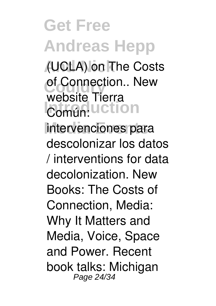**Get Free Andreas Hepp And Nick** (UCLA) on The Costs of Connection.. New **Común:** Uction **Media Events** intervenciones para website Tierra descolonizar los datos / interventions for data decolonization. New Books: The Costs of Connection, Media: Why It Matters and Media, Voice, Space and Power. Recent book talks: Michigan Page 24/34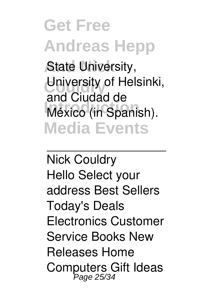**State University,** University of Helsinki, **Introduction**<br>
México (in Spanish). **Media Events** and Ciudad de

Nick Couldry Hello Select your address Best Sellers Today's Deals Electronics Customer Service Books New Releases Home Computers Gift Ideas Page 25/34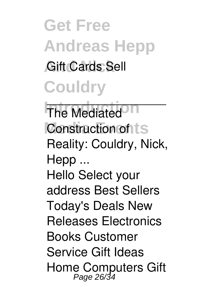**Get Free Andreas Hepp Gift Cards Sell Couldry**

**The Mediated<sup>On</sup> Construction of ts** Reality: Couldry, Nick, Hepp ... Hello Select your address Best Sellers Today's Deals New Releases Electronics Books Customer Service Gift Ideas Home Computers Gift Page 26/34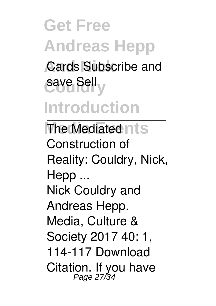#### **Get Free Andreas Hepp Cards Subscribe and** save Selly **Introduction**

**The Mediated nts** Construction of Reality: Couldry, Nick, Hepp ... Nick Couldry and Andreas Hepp. Media, Culture & Society 2017 40: 1, 114-117 Download Citation. If you have Page 27/34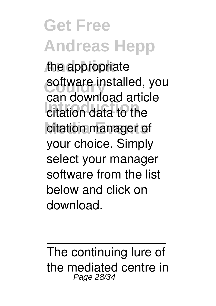the appropriate software installed, you **Internation**<br> **Internation**<br> **Internation**<br> **Internation**<br> **Internation**<br> **Internation** citation manager of can download article your choice. Simply select your manager software from the list below and click on download.

The continuing lure of the mediated centre in Page 28/34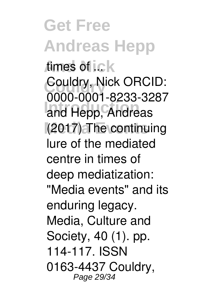**Get Free Andreas Hepp** times of i.c.k **Couldry** Couldry, Nick ORCID: **Introduction** and Hepp, Andreas **Media Events** (2017) The continuing 0000-0001-8233-3287 lure of the mediated centre in times of deep mediatization: "Media events" and its enduring legacy. Media, Culture and Society, 40 (1). pp. 114-117. ISSN 0163-4437 Couldry, Page 29/34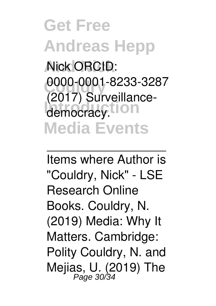**Get Free Andreas Hepp And Nick** Nick ORCID: 0000-0001-8233-3287 democracy.tion **Media Events** (2017) Surveillance-

Items where Author is "Couldry, Nick" - LSE Research Online Books. Couldry, N. (2019) Media: Why It Matters. Cambridge: Polity Couldry, N. and Mejias, U. (2019) The<br>Page 30/34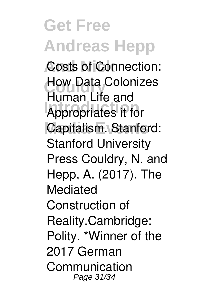**Costs of Connection: How Data Colonizes Introduction** Appropriates it for Capitalism. Stanford: Human Life and Stanford University Press Couldry, N. and Hepp, A. (2017). The Mediated Construction of Reality.Cambridge: Polity. \*Winner of the 2017 German Communication Page 31/34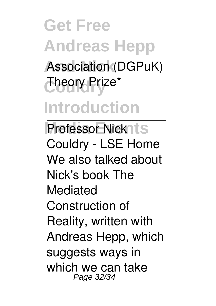**Get Free Andreas Hepp** Association (DGPuK) **Couldry** Theory Prize\* **Introduction**

**Professor Nick1ts** Couldry - LSE Home We also talked about Nick's book The Mediated Construction of Reality, written with Andreas Hepp, which suggests ways in which we can take Page 32/34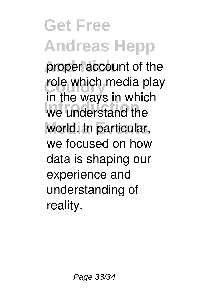proper account of the role which media play **Introduction** we understand the world. In particular, in the ways in which we focused on how data is shaping our experience and understanding of reality.